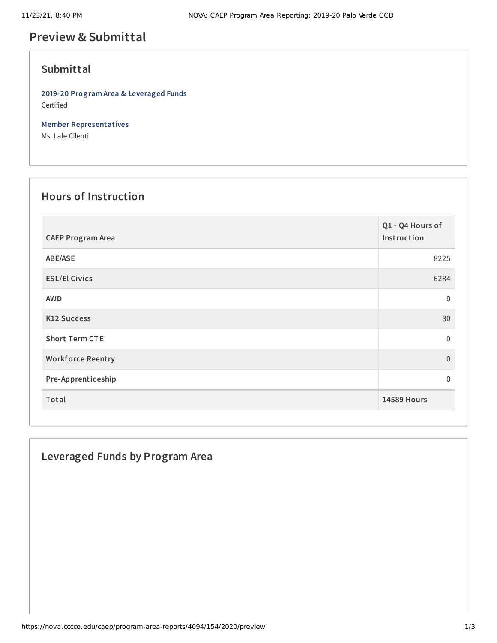# **Preview & Submittal**

### **Submittal**

**2019-20 Program Area & Leveraged Funds** Certified

**Member Representatives**

Ms. Lale Cilenti

## **Hours of Instruction**

| <b>CAEP Program Area</b> | Q1 - Q4 Hours of<br>Instruction |
|--------------------------|---------------------------------|
| ABE/ASE                  | 8225                            |
| <b>ESL/El Civics</b>     | 6284                            |
| <b>AWD</b>               | 0                               |
| <b>K12 Success</b>       | 80                              |
| <b>Short Term CTE</b>    | $\mathbf{0}$                    |
| <b>Workforce Reentry</b> | $\overline{0}$                  |
| Pre-Apprenticeship       | 0                               |
| Total                    | <b>14589 Hours</b>              |

### **Leveraged Funds by Program Area**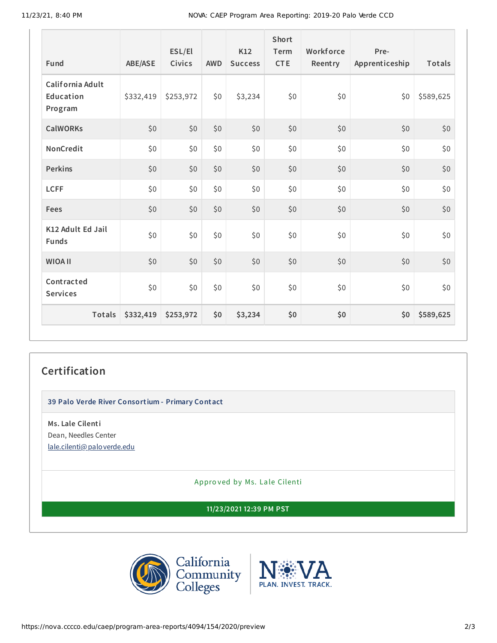11/23/21, 8:40 PM NOVA: CAEP Program Area Reporting: 2019-20 Palo Verde CCD

| Fund                                     | <b>ABE/ASE</b> | ESL/El<br>Civics | <b>AWD</b> | K12<br><b>Success</b> | <b>Short</b><br>Term<br><b>CTE</b> | Workforce<br>Reentry | Pre-<br>Apprenticeship | Totals    |
|------------------------------------------|----------------|------------------|------------|-----------------------|------------------------------------|----------------------|------------------------|-----------|
| California Adult<br>Education<br>Program | \$332,419      | \$253,972        | \$0        | \$3,234               | \$0                                | \$0                  | \$0                    | \$589,625 |
| <b>CalWORKs</b>                          | \$0            | \$0              | \$0        | \$0                   | \$0                                | \$0                  | \$0                    | \$0       |
| NonCredit                                | \$0            | \$0              | \$0        | \$0                   | \$0                                | \$0                  | \$0                    | \$0       |
| <b>Perkins</b>                           | \$0            | \$0              | \$0        | \$0                   | \$0                                | \$0                  | \$0                    | $$0$$     |
| <b>LCFF</b>                              | \$0            | \$0              | \$0        | \$0                   | \$0                                | \$0                  | \$0                    | \$0       |
| Fees                                     | \$0            | \$0              | \$0        | \$0                   | \$0                                | \$0                  | \$0                    | \$0       |
| K12 Adult Ed Jail<br><b>Funds</b>        | \$0            | \$0              | \$0        | \$0                   | \$0                                | \$0                  | \$0                    | \$0       |
| <b>WIOA II</b>                           | \$0            | \$0              | \$0        | \$0                   | \$0                                | \$0                  | \$0                    | \$0       |
| Contracted<br><b>Services</b>            | \$0            | \$0              | \$0        | \$0                   | \$0                                | \$0                  | \$0                    | \$0       |
| <b>Totals</b>                            | \$332,419      | \$253,972        | \$0        | \$3,234               | \$0                                | \$0                  | \$0                    | \$589,625 |

#### **Certification**

**39 Palo Verde River Consortium - Primary Contact**

**Ms. Lale Cilenti** Dean, Needles Center [lale.cilenti@paloverde.edu](mailto:lale.cilenti@paloverde.edu)

Appro ved by Ms. Lale Cilenti

**11/23/2021 12:39 PM PST**